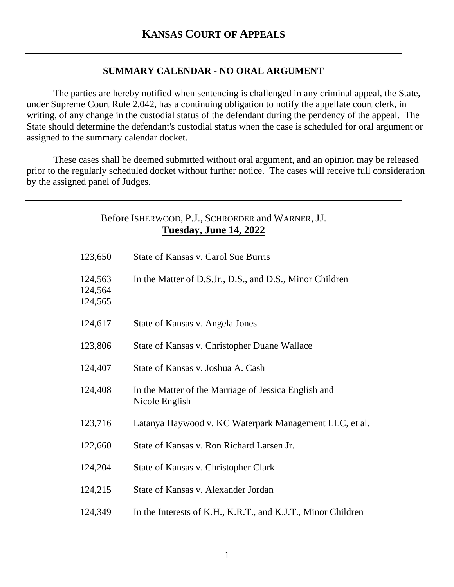## **SUMMARY CALENDAR - NO ORAL ARGUMENT**

The parties are hereby notified when sentencing is challenged in any criminal appeal, the State, under Supreme Court Rule 2.042, has a continuing obligation to notify the appellate court clerk, in writing, of any change in the custodial status of the defendant during the pendency of the appeal. The State should determine the defendant's custodial status when the case is scheduled for oral argument or assigned to the summary calendar docket.

These cases shall be deemed submitted without oral argument, and an opinion may be released prior to the regularly scheduled docket without further notice. The cases will receive full consideration by the assigned panel of Judges.

## Before ISHERWOOD, P.J., SCHROEDER and WARNER, JJ. **Tuesday, June 14, 2022**

| 123,650                       | State of Kansas v. Carol Sue Burris                                    |
|-------------------------------|------------------------------------------------------------------------|
| 124,563<br>124,564<br>124,565 | In the Matter of D.S.Jr., D.S., and D.S., Minor Children               |
| 124,617                       | State of Kansas v. Angela Jones                                        |
| 123,806                       | State of Kansas v. Christopher Duane Wallace                           |
| 124,407                       | State of Kansas v. Joshua A. Cash                                      |
| 124,408                       | In the Matter of the Marriage of Jessica English and<br>Nicole English |
| 123,716                       | Latanya Haywood v. KC Waterpark Management LLC, et al.                 |
| 122,660                       | State of Kansas v. Ron Richard Larsen Jr.                              |
| 124,204                       | State of Kansas v. Christopher Clark                                   |
| 124,215                       | State of Kansas v. Alexander Jordan                                    |
| 124,349                       | In the Interests of K.H., K.R.T., and K.J.T., Minor Children           |